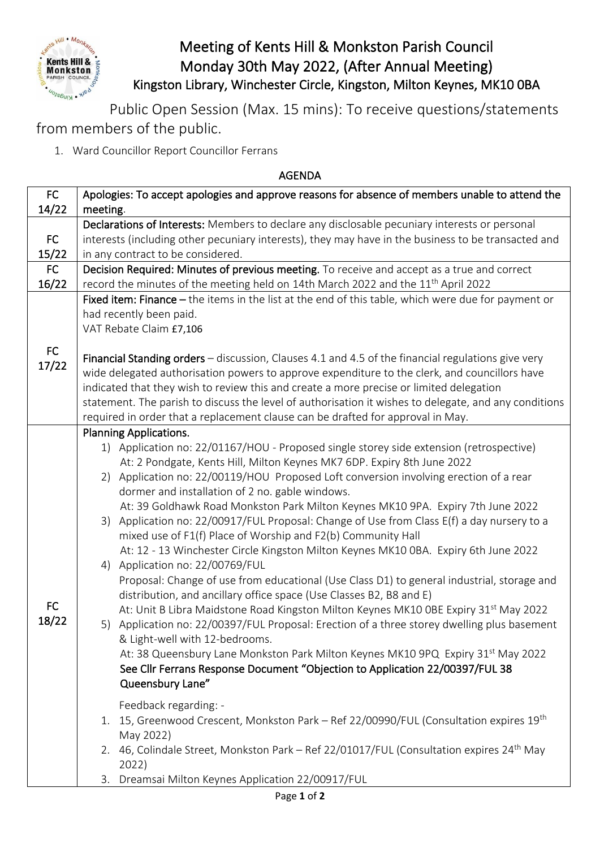

## Meeting of Kents Hill & Monkston Parish Council Monday 30th May 2022, (After Annual Meeting) Kingston Library, Winchester Circle, Kingston, Milton Keynes, MK10 0BA

Public Open Session (Max. 15 mins): To receive questions/statements from members of the public.

1. Ward Councillor Report Councillor Ferrans

## AGENDA

| FC          | Apologies: To accept apologies and approve reasons for absence of members unable to attend the                                                                                                                                                                                                                                                                                                                                                                                                                                                                                                                                                                                                                                                                                                                                                                                                                                                                                                                                                                                                                                                                                                                                                                                                                                                                                                                                                                                                                                                                                                                                                              |
|-------------|-------------------------------------------------------------------------------------------------------------------------------------------------------------------------------------------------------------------------------------------------------------------------------------------------------------------------------------------------------------------------------------------------------------------------------------------------------------------------------------------------------------------------------------------------------------------------------------------------------------------------------------------------------------------------------------------------------------------------------------------------------------------------------------------------------------------------------------------------------------------------------------------------------------------------------------------------------------------------------------------------------------------------------------------------------------------------------------------------------------------------------------------------------------------------------------------------------------------------------------------------------------------------------------------------------------------------------------------------------------------------------------------------------------------------------------------------------------------------------------------------------------------------------------------------------------------------------------------------------------------------------------------------------------|
| 14/22       | meeting.                                                                                                                                                                                                                                                                                                                                                                                                                                                                                                                                                                                                                                                                                                                                                                                                                                                                                                                                                                                                                                                                                                                                                                                                                                                                                                                                                                                                                                                                                                                                                                                                                                                    |
| FC          | Declarations of Interests: Members to declare any disclosable pecuniary interests or personal<br>interests (including other pecuniary interests), they may have in the business to be transacted and                                                                                                                                                                                                                                                                                                                                                                                                                                                                                                                                                                                                                                                                                                                                                                                                                                                                                                                                                                                                                                                                                                                                                                                                                                                                                                                                                                                                                                                        |
| 15/22       | in any contract to be considered.                                                                                                                                                                                                                                                                                                                                                                                                                                                                                                                                                                                                                                                                                                                                                                                                                                                                                                                                                                                                                                                                                                                                                                                                                                                                                                                                                                                                                                                                                                                                                                                                                           |
| FC          | Decision Required: Minutes of previous meeting. To receive and accept as a true and correct                                                                                                                                                                                                                                                                                                                                                                                                                                                                                                                                                                                                                                                                                                                                                                                                                                                                                                                                                                                                                                                                                                                                                                                                                                                                                                                                                                                                                                                                                                                                                                 |
| 16/22       | record the minutes of the meeting held on 14th March 2022 and the 11 <sup>th</sup> April 2022                                                                                                                                                                                                                                                                                                                                                                                                                                                                                                                                                                                                                                                                                                                                                                                                                                                                                                                                                                                                                                                                                                                                                                                                                                                                                                                                                                                                                                                                                                                                                               |
| FC          | Fixed item: Finance $-$ the items in the list at the end of this table, which were due for payment or<br>had recently been paid.<br>VAT Rebate Claim £7,106                                                                                                                                                                                                                                                                                                                                                                                                                                                                                                                                                                                                                                                                                                                                                                                                                                                                                                                                                                                                                                                                                                                                                                                                                                                                                                                                                                                                                                                                                                 |
| 17/22       | Financial Standing orders - discussion, Clauses 4.1 and 4.5 of the financial regulations give very<br>wide delegated authorisation powers to approve expenditure to the clerk, and councillors have<br>indicated that they wish to review this and create a more precise or limited delegation<br>statement. The parish to discuss the level of authorisation it wishes to delegate, and any conditions<br>required in order that a replacement clause can be drafted for approval in May.                                                                                                                                                                                                                                                                                                                                                                                                                                                                                                                                                                                                                                                                                                                                                                                                                                                                                                                                                                                                                                                                                                                                                                  |
| FC<br>18/22 | <b>Planning Applications.</b><br>1) Application no: 22/01167/HOU - Proposed single storey side extension (retrospective)<br>At: 2 Pondgate, Kents Hill, Milton Keynes MK7 6DP. Expiry 8th June 2022<br>2) Application no: 22/00119/HOU Proposed Loft conversion involving erection of a rear<br>dormer and installation of 2 no. gable windows.<br>At: 39 Goldhawk Road Monkston Park Milton Keynes MK10 9PA. Expiry 7th June 2022<br>Application no: 22/00917/FUL Proposal: Change of Use from Class E(f) a day nursery to a<br>3)<br>mixed use of F1(f) Place of Worship and F2(b) Community Hall<br>At: 12 - 13 Winchester Circle Kingston Milton Keynes MK10 0BA. Expiry 6th June 2022<br>Application no: 22/00769/FUL<br>4)<br>Proposal: Change of use from educational (Use Class D1) to general industrial, storage and<br>distribution, and ancillary office space (Use Classes B2, B8 and E)<br>At: Unit B Libra Maidstone Road Kingston Milton Keynes MK10 OBE Expiry 31 <sup>st</sup> May 2022<br>5) Application no: 22/00397/FUL Proposal: Erection of a three storey dwelling plus basement<br>& Light-well with 12-bedrooms.<br>At: 38 Queensbury Lane Monkston Park Milton Keynes MK10 9PQ Expiry 31 <sup>st</sup> May 2022<br>See Cllr Ferrans Response Document "Objection to Application 22/00397/FUL 38<br>Queensbury Lane"<br>Feedback regarding: -<br>1. 15, Greenwood Crescent, Monkston Park - Ref 22/00990/FUL (Consultation expires 19th<br>May 2022)<br>46, Colindale Street, Monkston Park - Ref 22/01017/FUL (Consultation expires 24 <sup>th</sup> May<br>2.<br>2022)<br>Dreamsai Milton Keynes Application 22/00917/FUL<br>3. |